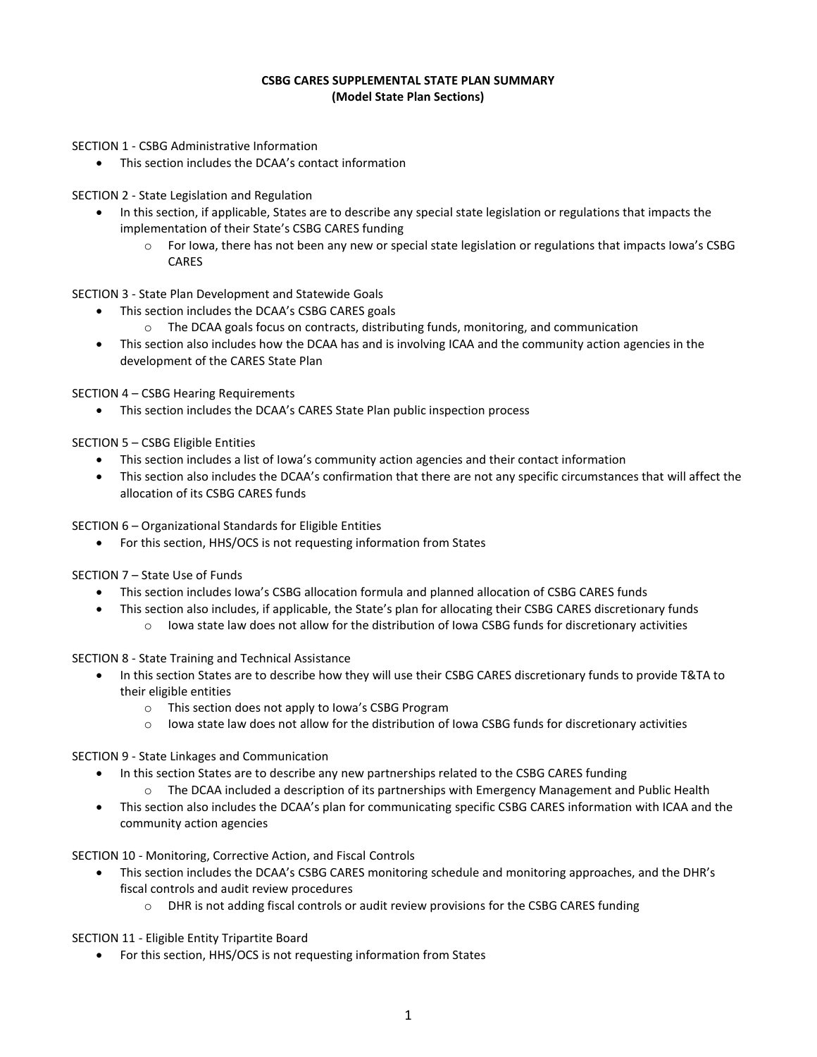## **CSBG CARES SUPPLEMENTAL STATE PLAN SUMMARY (Model State Plan Sections)**

- SECTION 1 CSBG Administrative Information
	- This section includes the DCAA's contact information

SECTION 2 - State Legislation and Regulation

- In this section, if applicable, States are to describe any special state legislation or regulations that impacts the implementation of their State's CSBG CARES funding
	- $\circ$  For Iowa, there has not been any new or special state legislation or regulations that impacts Iowa's CSBG CARES

SECTION 3 - State Plan Development and Statewide Goals

- This section includes the DCAA's CSBG CARES goals
	- $\circ$  The DCAA goals focus on contracts, distributing funds, monitoring, and communication
- This section also includes how the DCAA has and is involving ICAA and the community action agencies in the development of the CARES State Plan

SECTION 4 – CSBG Hearing Requirements

• This section includes the DCAA's CARES State Plan public inspection process

SECTION 5 – CSBG Eligible Entities

- This section includes a list of Iowa's community action agencies and their contact information
- This section also includes the DCAA's confirmation that there are not any specific circumstances that will affect the allocation of its CSBG CARES funds

SECTION 6 – Organizational Standards for Eligible Entities

• For this section, HHS/OCS is not requesting information from States

SECTION 7 – State Use of Funds

- This section includes Iowa's CSBG allocation formula and planned allocation of CSBG CARES funds
	- This section also includes, if applicable, the State's plan for allocating their CSBG CARES discretionary funds
		- $\circ$  Iowa state law does not allow for the distribution of Iowa CSBG funds for discretionary activities

SECTION 8 - State Training and Technical Assistance

- In this section States are to describe how they will use their CSBG CARES discretionary funds to provide T&TA to their eligible entities
	- o This section does not apply to Iowa's CSBG Program
	- o Iowa state law does not allow for the distribution of Iowa CSBG funds for discretionary activities

SECTION 9 - State Linkages and Communication

- In this section States are to describe any new partnerships related to the CSBG CARES funding
	- o The DCAA included a description of its partnerships with Emergency Management and Public Health
- This section also includes the DCAA's plan for communicating specific CSBG CARES information with ICAA and the community action agencies

SECTION 10 - Monitoring, Corrective Action, and Fiscal Controls

- This section includes the DCAA's CSBG CARES monitoring schedule and monitoring approaches, and the DHR's fiscal controls and audit review procedures
	- $\circ$  DHR is not adding fiscal controls or audit review provisions for the CSBG CARES funding

SECTION 11 - Eligible Entity Tripartite Board

• For this section, HHS/OCS is not requesting information from States